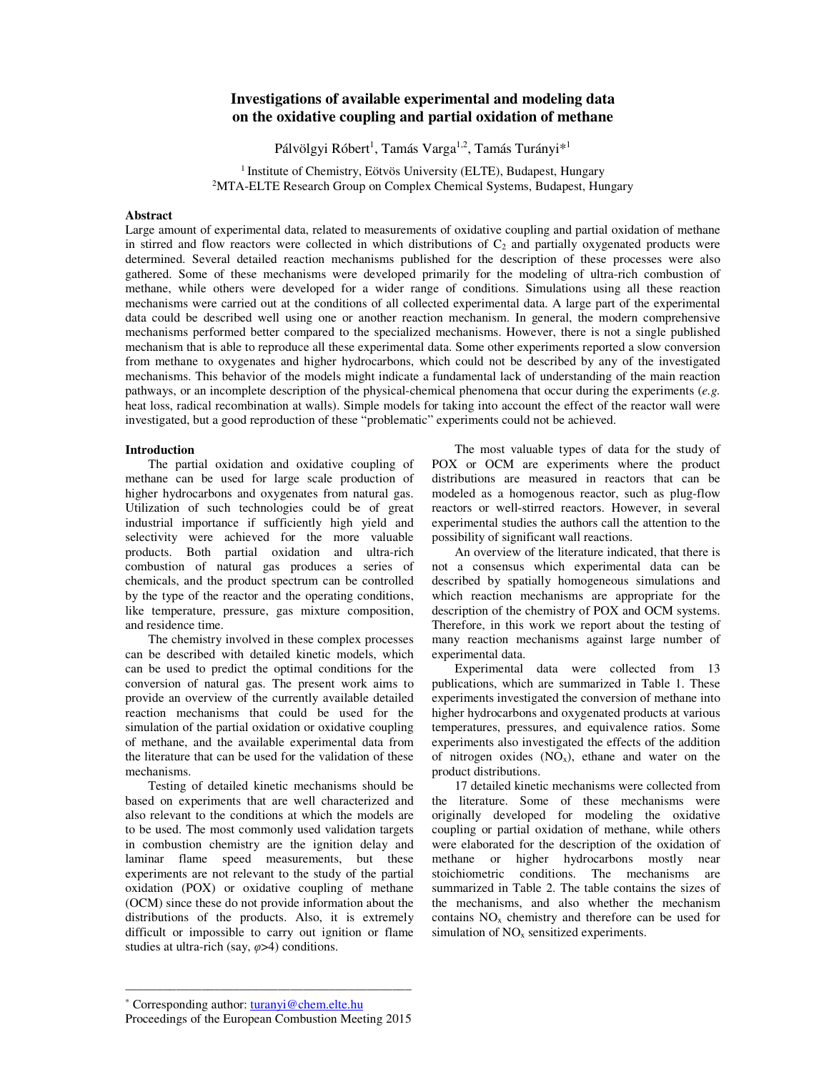# **Investigations of available experimental and modeling data on the oxidative coupling and partial oxidation of methane**

Pálvölgyi Róbert<sup>1</sup>, Tamás Varga<sup>1,2</sup>, Tamás Turányi\*<sup>1</sup>

<sup>1</sup> Institute of Chemistry, Eötvös University (ELTE), Budapest, Hungary <sup>2</sup>MTA-ELTE Research Group on Complex Chemical Systems, Budapest, Hungary

## **Abstract**

Large amount of experimental data, related to measurements of oxidative coupling and partial oxidation of methane in stirred and flow reactors were collected in which distributions of  $C_2$  and partially oxygenated products were determined. Several detailed reaction mechanisms published for the description of these processes were also gathered. Some of these mechanisms were developed primarily for the modeling of ultra-rich combustion of methane, while others were developed for a wider range of conditions. Simulations using all these reaction mechanisms were carried out at the conditions of all collected experimental data. A large part of the experimental data could be described well using one or another reaction mechanism. In general, the modern comprehensive mechanisms performed better compared to the specialized mechanisms. However, there is not a single published mechanism that is able to reproduce all these experimental data. Some other experiments reported a slow conversion from methane to oxygenates and higher hydrocarbons, which could not be described by any of the investigated mechanisms. This behavior of the models might indicate a fundamental lack of understanding of the main reaction pathways, or an incomplete description of the physical-chemical phenomena that occur during the experiments (*e.g.* heat loss, radical recombination at walls). Simple models for taking into account the effect of the reactor wall were investigated, but a good reproduction of these "problematic" experiments could not be achieved.

### **Introduction**

The partial oxidation and oxidative coupling of methane can be used for large scale production of higher hydrocarbons and oxygenates from natural gas. Utilization of such technologies could be of great industrial importance if sufficiently high yield and selectivity were achieved for the more valuable products. Both partial oxidation and ultra-rich combustion of natural gas produces a series of chemicals, and the product spectrum can be controlled by the type of the reactor and the operating conditions, like temperature, pressure, gas mixture composition, and residence time.

The chemistry involved in these complex processes can be described with detailed kinetic models, which can be used to predict the optimal conditions for the conversion of natural gas. The present work aims to provide an overview of the currently available detailed reaction mechanisms that could be used for the simulation of the partial oxidation or oxidative coupling of methane, and the available experimental data from the literature that can be used for the validation of these mechanisms.

Testing of detailed kinetic mechanisms should be based on experiments that are well characterized and also relevant to the conditions at which the models are to be used. The most commonly used validation targets in combustion chemistry are the ignition delay and laminar flame speed measurements, but these experiments are not relevant to the study of the partial oxidation (POX) or oxidative coupling of methane (OCM) since these do not provide information about the distributions of the products. Also, it is extremely difficult or impossible to carry out ignition or flame studies at ultra-rich (say, *φ*>4) conditions.

The most valuable types of data for the study of POX or OCM are experiments where the product distributions are measured in reactors that can be modeled as a homogenous reactor, such as plug-flow reactors or well-stirred reactors. However, in several experimental studies the authors call the attention to the possibility of significant wall reactions.

An overview of the literature indicated, that there is not a consensus which experimental data can be described by spatially homogeneous simulations and which reaction mechanisms are appropriate for the description of the chemistry of POX and OCM systems. Therefore, in this work we report about the testing of many reaction mechanisms against large number of experimental data.

Experimental data were collected from 13 publications, which are summarized in Table 1. These experiments investigated the conversion of methane into higher hydrocarbons and oxygenated products at various temperatures, pressures, and equivalence ratios. Some experiments also investigated the effects of the addition of nitrogen oxides  $(NO_x)$ , ethane and water on the product distributions.

17 detailed kinetic mechanisms were collected from the literature. Some of these mechanisms were originally developed for modeling the oxidative coupling or partial oxidation of methane, while others were elaborated for the description of the oxidation of methane or higher hydrocarbons mostly near stoichiometric conditions. The mechanisms are summarized in Table 2. The table contains the sizes of the mechanisms, and also whether the mechanism contains  $NO<sub>x</sub>$  chemistry and therefore can be used for simulation of NO<sub>x</sub> sensitized experiments.

–––––––––––––––––––––––––––––––––––––––––––––

<sup>\*</sup> Corresponding author: turanyi@chem.elte.hu Proceedings of the European Combustion Meeting 2015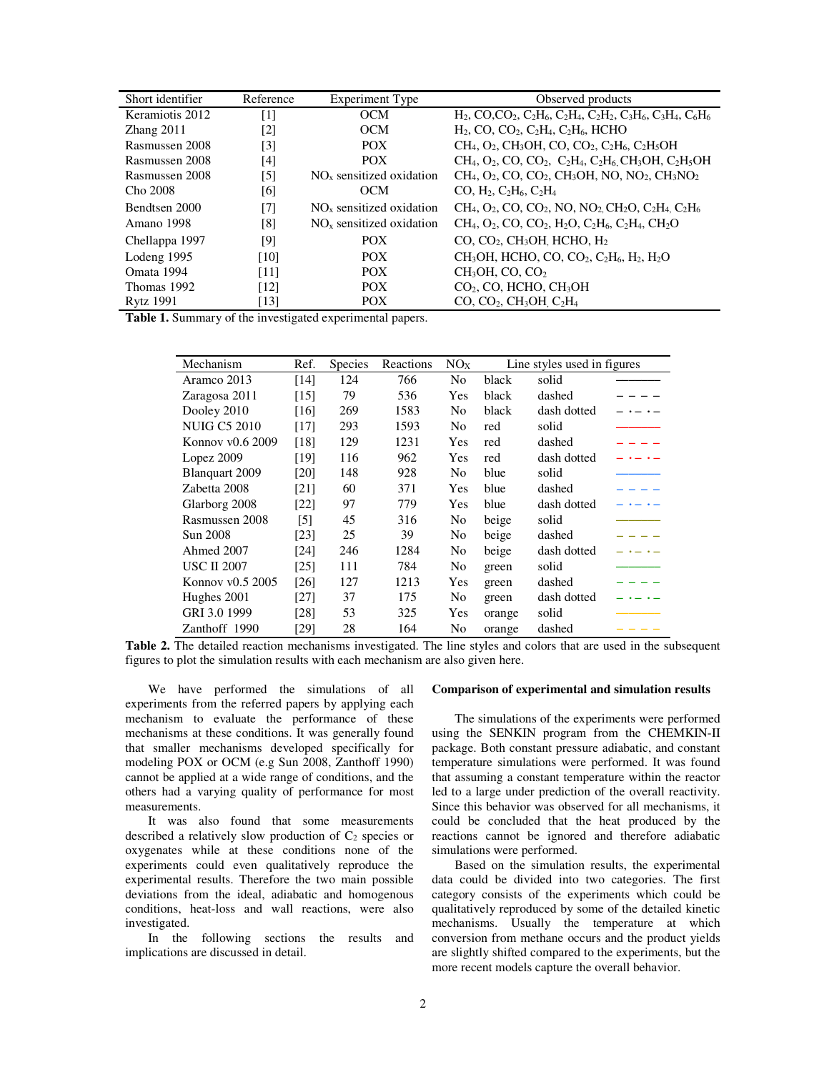| Short identifier | Reference         | <b>Experiment Type</b>     | Observed products                                                                                                                                                                                                          |  |  |
|------------------|-------------------|----------------------------|----------------------------------------------------------------------------------------------------------------------------------------------------------------------------------------------------------------------------|--|--|
| Keramiotis 2012  | [1]               | <b>OCM</b>                 | $H_2$ , CO,CO <sub>2</sub> , C <sub>2</sub> H <sub>6</sub> , C <sub>2</sub> H <sub>4</sub> , C <sub>2</sub> H <sub>2</sub> , C <sub>3</sub> H <sub>6</sub> , C <sub>3</sub> H <sub>4</sub> , C <sub>6</sub> H <sub>6</sub> |  |  |
| Zhang 2011       | [2]               | <b>OCM</b>                 | $H_2$ , CO, CO <sub>2</sub> , C <sub>2</sub> H <sub>4</sub> , C <sub>2</sub> H <sub>6</sub> , HCHO                                                                                                                         |  |  |
| Rasmussen 2008   | $\lceil 3 \rceil$ | POX <sup>1</sup>           | $CH_4$ , O <sub>2</sub> , CH <sub>3</sub> OH, CO, CO <sub>2</sub> , C <sub>2</sub> H <sub>6</sub> , C <sub>2</sub> H <sub>5</sub> OH                                                                                       |  |  |
| Rasmussen 2008   | [4]               | <b>POX</b>                 | $CH_4$ , O <sub>2</sub> , CO, CO <sub>2</sub> , C <sub>2</sub> H <sub>4</sub> , C <sub>2</sub> H <sub>6</sub> , CH <sub>3</sub> OH, C <sub>2</sub> H <sub>5</sub> OH                                                       |  |  |
| Rasmussen 2008   | [5]               | $NOx$ sensitized oxidation | $CH_4$ , O <sub>2</sub> , CO, CO <sub>2</sub> , CH <sub>3</sub> OH, NO, NO <sub>2</sub> , CH <sub>3</sub> NO <sub>2</sub>                                                                                                  |  |  |
| Cho 2008         | [6]               | <b>OCM</b>                 | $CO, H2, C2H6, C2H4$                                                                                                                                                                                                       |  |  |
| Bendtsen 2000    | [7]               | $NOx$ sensitized oxidation | $CH_4$ , O <sub>2</sub> , CO, CO <sub>2</sub> , NO, NO <sub>2</sub> , CH <sub>2</sub> O, C <sub>2</sub> H <sub>4</sub> , C <sub>2</sub> H <sub>6</sub>                                                                     |  |  |
| Amano 1998       | [8]               | $NOx$ sensitized oxidation | $CH_4$ , O <sub>2</sub> , CO, CO <sub>2</sub> , H <sub>2</sub> O, C <sub>2</sub> H <sub>6</sub> , C <sub>2</sub> H <sub>4</sub> , CH <sub>2</sub> O                                                                        |  |  |
| Chellappa 1997   | [9]               | <b>POX</b>                 | $CO$ , $CO2$ , $CH3OH$ , HCHO, $H2$                                                                                                                                                                                        |  |  |
| Lodeng 1995      | [10]              | <b>POX</b>                 | CH <sub>3</sub> OH, HCHO, CO, CO <sub>2</sub> , C <sub>2</sub> H <sub>6</sub> , H <sub>2</sub> , H <sub>2</sub> O                                                                                                          |  |  |
| Omata 1994       | [11]              | <b>POX</b>                 | $CH3OH$ , CO, CO <sub>2</sub>                                                                                                                                                                                              |  |  |
| Thomas 1992      | [12]              | <b>POX</b>                 | $CO2$ , CO, HCHO, CH <sub>3</sub> OH                                                                                                                                                                                       |  |  |
| <b>Rytz</b> 1991 | [13]              | <b>POX</b>                 | $CO$ , $CO2$ , $CH3OH$ , $C2H4$                                                                                                                                                                                            |  |  |

**Table 1.** Summary of the investigated experimental papers.

| Mechanism           | Ref.  | Species | Reactions | NO <sub>X</sub> | Line styles used in figures |             |  |
|---------------------|-------|---------|-----------|-----------------|-----------------------------|-------------|--|
| Aramco 2013         | [14]  | 124     | 766       | No              | black                       | solid       |  |
| Zaragosa 2011       | [15]  | 79      | 536       | Yes             | black                       | dashed      |  |
| Dooley 2010         | [16]  | 269     | 1583      | No              | black                       | dash dotted |  |
| <b>NUIG C5 2010</b> | [17]  | 293     | 1593      | No.             | red                         | solid       |  |
| Konnov $v0.6$ 2009  | [18]  | 129     | 1231      | Yes             | red                         | dashed      |  |
| Lopez $2009$        | [19]  | 116     | 962       | Yes             | red                         | dash dotted |  |
| Blanquart 2009      | [20]  | 148     | 928       | No.             | blue                        | solid       |  |
| Zabetta 2008        | [21]  | 60      | 371       | Yes             | blue                        | dashed      |  |
| Glarborg 2008       | [22]  | 97      | 779       | Yes             | blue                        | dash dotted |  |
| Rasmussen 2008      | $[5]$ | 45      | 316       | No              | beige                       | solid       |  |
| Sun 2008            | [23]  | 25      | 39        | N <sub>0</sub>  | beige                       | dashed      |  |
| Ahmed 2007          | [24]  | 246     | 1284      | No              | beige                       | dash dotted |  |
| <b>USC II 2007</b>  | [25]  | 111     | 784       | No              | green                       | solid       |  |
| Konnov $v0.5$ 2005  | [26]  | 127     | 1213      | Yes             | green                       | dashed      |  |
| Hughes 2001         | [27]  | 37      | 175       | No.             | green                       | dash dotted |  |
| GRI 3.0 1999        | [28]  | 53      | 325       | Yes             | orange                      | solid       |  |
| Zanthoff 1990       | [29]  | 28      | 164       | No              | orange                      | dashed      |  |

**Table 2.** The detailed reaction mechanisms investigated. The line styles and colors that are used in the subsequent figures to plot the simulation results with each mechanism are also given here.

We have performed the simulations of all experiments from the referred papers by applying each mechanism to evaluate the performance of these mechanisms at these conditions. It was generally found that smaller mechanisms developed specifically for modeling POX or OCM (e.g Sun 2008, Zanthoff 1990) cannot be applied at a wide range of conditions, and the others had a varying quality of performance for most measurements.

It was also found that some measurements described a relatively slow production of  $C_2$  species or oxygenates while at these conditions none of the experiments could even qualitatively reproduce the experimental results. Therefore the two main possible deviations from the ideal, adiabatic and homogenous conditions, heat-loss and wall reactions, were also investigated.

In the following sections the results and implications are discussed in detail.

### **Comparison of experimental and simulation results**

The simulations of the experiments were performed using the SENKIN program from the CHEMKIN-II package. Both constant pressure adiabatic, and constant temperature simulations were performed. It was found that assuming a constant temperature within the reactor led to a large under prediction of the overall reactivity. Since this behavior was observed for all mechanisms, it could be concluded that the heat produced by the reactions cannot be ignored and therefore adiabatic simulations were performed.

Based on the simulation results, the experimental data could be divided into two categories. The first category consists of the experiments which could be qualitatively reproduced by some of the detailed kinetic mechanisms. Usually the temperature at which conversion from methane occurs and the product yields are slightly shifted compared to the experiments, but the more recent models capture the overall behavior.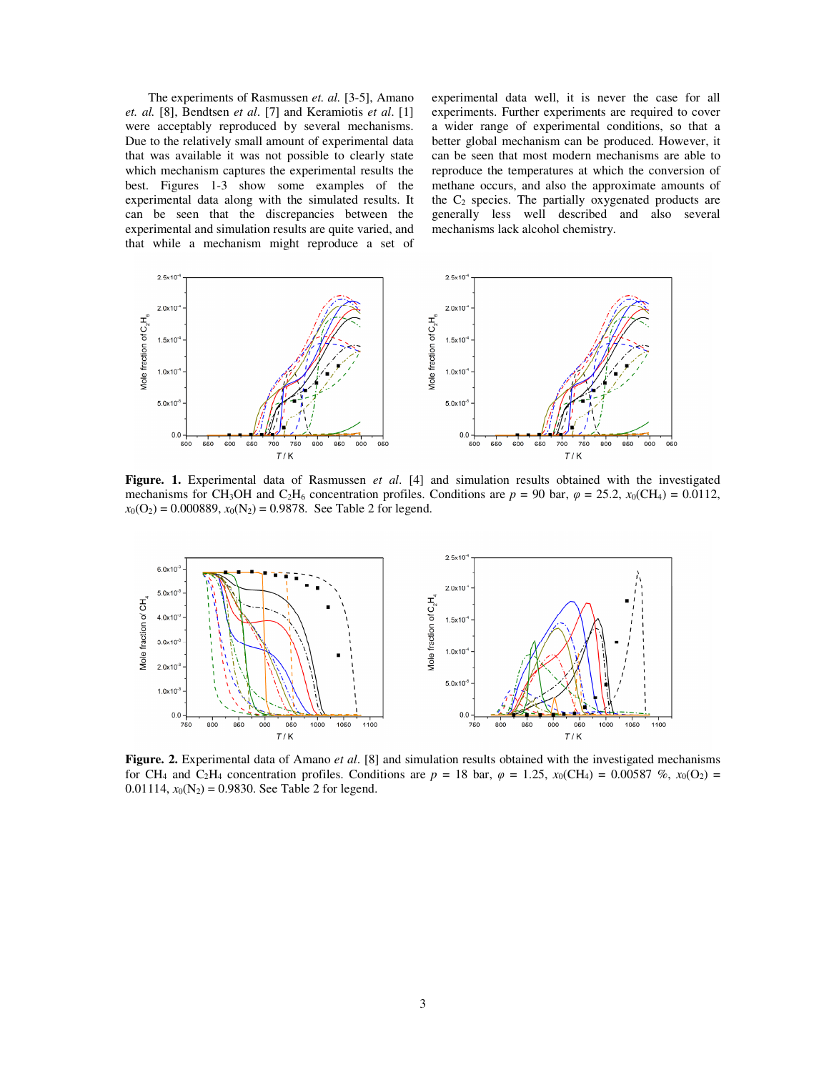The experiments of Rasmussen *et. al.* [3-5], Amano *et. al.* [8], Bendtsen *et al*. [7] and Keramiotis *et al*. [1] were acceptably reproduced by several mechanisms. Due to the relatively small amount of experimental data that was available it was not possible to clearly state which mechanism captures the experimental results the best. Figures 1-3 show some examples of the experimental data along with the simulated results. It can be seen that the discrepancies between the experimental and simulation results are quite varied, and that while a mechanism might reproduce a set of experimental data well, it is never the case for all experiments. Further experiments are required to cover a wider range of experimental conditions, so that a better global mechanism can be produced. However, it can be seen that most modern mechanisms are able to reproduce the temperatures at which the conversion of methane occurs, and also the approximate amounts of the  $C_2$  species. The partially oxygenated products are generally less well described and also several mechanisms lack alcohol chemistry.



**Figure. 1.** Experimental data of Rasmussen *et al*. [4] and simulation results obtained with the investigated mechanisms for CH<sub>3</sub>OH and C<sub>2</sub>H<sub>6</sub> concentration profiles. Conditions are  $p = 90$  bar,  $\varphi = 25.2$ ,  $x_0$ (CH<sub>4</sub>) = 0.0112,  $x_0$ (O<sub>2</sub>) = 0.000889,  $x_0$ (N<sub>2</sub>) = 0.9878. See Table 2 for legend.



**Figure. 2.** Experimental data of Amano *et al*. [8] and simulation results obtained with the investigated mechanisms for CH<sub>4</sub> and C<sub>2</sub>H<sub>4</sub> concentration profiles. Conditions are  $p = 18$  bar,  $\varphi = 1.25$ ,  $x_0$ (CH<sub>4</sub>) = 0.00587 %,  $x_0$ (O<sub>2</sub>) = 0.01114,  $x_0(N_2) = 0.9830$ . See Table 2 for legend.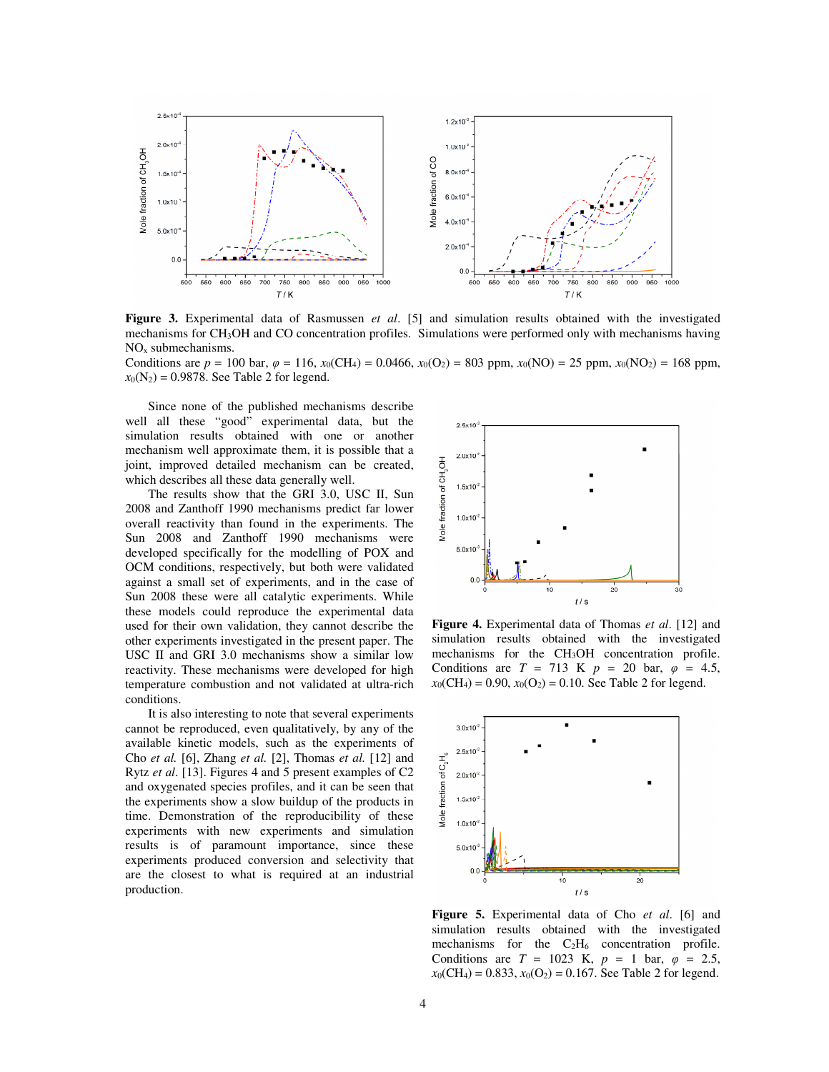

**Figure 3.** Experimental data of Rasmussen *et al*. [5] and simulation results obtained with the investigated mechanisms for CH3OH and CO concentration profiles. Simulations were performed only with mechanisms having NOx submechanisms.

Conditions are  $p = 100$  bar,  $\varphi = 116$ ,  $x_0$ (CH<sub>4</sub>) = 0.0466,  $x_0$ (O<sub>2</sub>) = 803 ppm,  $x_0$ (NO) = 25 ppm,  $x_0$ (NO<sub>2</sub>) = 168 ppm,  $x_0(N_2) = 0.9878$ . See Table 2 for legend.

Since none of the published mechanisms describe well all these "good" experimental data, but the simulation results obtained with one or another mechanism well approximate them, it is possible that a joint, improved detailed mechanism can be created, which describes all these data generally well.

The results show that the GRI 3.0, USC II, Sun 2008 and Zanthoff 1990 mechanisms predict far lower overall reactivity than found in the experiments. The Sun 2008 and Zanthoff 1990 mechanisms were developed specifically for the modelling of POX and OCM conditions, respectively, but both were validated against a small set of experiments, and in the case of Sun 2008 these were all catalytic experiments. While these models could reproduce the experimental data used for their own validation, they cannot describe the other experiments investigated in the present paper. The USC II and GRI 3.0 mechanisms show a similar low reactivity. These mechanisms were developed for high temperature combustion and not validated at ultra-rich conditions.

It is also interesting to note that several experiments cannot be reproduced, even qualitatively, by any of the available kinetic models, such as the experiments of Cho *et al.* [6], Zhang *et al.* [2], Thomas *et al.* [12] and Rytz *et al*. [13]. Figures 4 and 5 present examples of C2 and oxygenated species profiles, and it can be seen that the experiments show a slow buildup of the products in time. Demonstration of the reproducibility of these experiments with new experiments and simulation results is of paramount importance, since these experiments produced conversion and selectivity that are the closest to what is required at an industrial production.



**Figure 4.** Experimental data of Thomas *et al*. [12] and simulation results obtained with the investigated mechanisms for the CH3OH concentration profile. Conditions are  $T = 713$  K  $p = 20$  bar,  $\varphi = 4.5$ ,  $x_0(CH_4) = 0.90$ ,  $x_0(O_2) = 0.10$ . See Table 2 for legend.



**Figure 5.** Experimental data of Cho *et al*. [6] and simulation results obtained with the investigated mechanisms for the  $C_2H_6$  concentration profile. Conditions are  $T = 1023$  K,  $p = 1$  bar,  $\varphi = 2.5$ ,  $x_0$ (CH<sub>4</sub>) = 0.833,  $x_0$ (O<sub>2</sub>) = 0.167. See Table 2 for legend.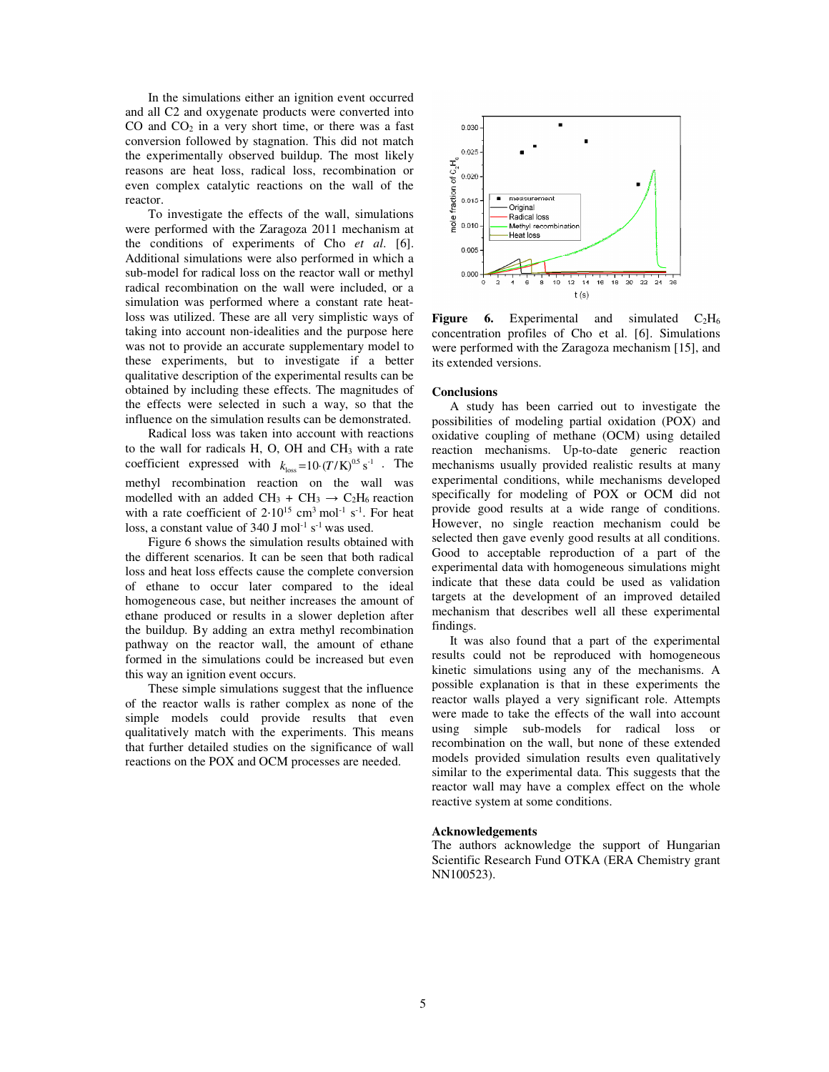In the simulations either an ignition event occurred and all C2 and oxygenate products were converted into  $CO$  and  $CO<sub>2</sub>$  in a very short time, or there was a fast conversion followed by stagnation. This did not match the experimentally observed buildup. The most likely reasons are heat loss, radical loss, recombination or even complex catalytic reactions on the wall of the reactor.

To investigate the effects of the wall, simulations were performed with the Zaragoza 2011 mechanism at the conditions of experiments of Cho *et al*. [6]. Additional simulations were also performed in which a sub-model for radical loss on the reactor wall or methyl radical recombination on the wall were included, or a simulation was performed where a constant rate heatloss was utilized. These are all very simplistic ways of taking into account non-idealities and the purpose here was not to provide an accurate supplementary model to these experiments, but to investigate if a better qualitative description of the experimental results can be obtained by including these effects. The magnitudes of the effects were selected in such a way, so that the influence on the simulation results can be demonstrated.

Radical loss was taken into account with reactions to the wall for radicals H, O, OH and CH3 with a rate coefficient expressed with  $k_{\text{loss}} = 10 \cdot (T/K)^{0.5} \text{ s}^{-1}$ . The methyl recombination reaction on the wall was modelled with an added CH<sub>3</sub> + CH<sub>3</sub>  $\rightarrow$  C<sub>2</sub>H<sub>6</sub> reaction with a rate coefficient of  $2.10^{15}$  cm<sup>3</sup> mol<sup>-1</sup> s<sup>-1</sup>. For heat loss, a constant value of  $340$  J mol<sup>-1</sup> s<sup>-1</sup> was used.

Figure 6 shows the simulation results obtained with the different scenarios. It can be seen that both radical loss and heat loss effects cause the complete conversion of ethane to occur later compared to the ideal homogeneous case, but neither increases the amount of ethane produced or results in a slower depletion after the buildup. By adding an extra methyl recombination pathway on the reactor wall, the amount of ethane formed in the simulations could be increased but even this way an ignition event occurs.

These simple simulations suggest that the influence of the reactor walls is rather complex as none of the simple models could provide results that even qualitatively match with the experiments. This means that further detailed studies on the significance of wall reactions on the POX and OCM processes are needed.



**Figure 6.** Experimental and simulated  $C_2H_6$ concentration profiles of Cho et al. [6]. Simulations were performed with the Zaragoza mechanism [15], and its extended versions.

#### **Conclusions**

A study has been carried out to investigate the possibilities of modeling partial oxidation (POX) and oxidative coupling of methane (OCM) using detailed reaction mechanisms. Up-to-date generic reaction mechanisms usually provided realistic results at many experimental conditions, while mechanisms developed specifically for modeling of POX or OCM did not provide good results at a wide range of conditions. However, no single reaction mechanism could be selected then gave evenly good results at all conditions. Good to acceptable reproduction of a part of the experimental data with homogeneous simulations might indicate that these data could be used as validation targets at the development of an improved detailed mechanism that describes well all these experimental findings.

It was also found that a part of the experimental results could not be reproduced with homogeneous kinetic simulations using any of the mechanisms. A possible explanation is that in these experiments the reactor walls played a very significant role. Attempts were made to take the effects of the wall into account using simple sub-models for radical loss or recombination on the wall, but none of these extended models provided simulation results even qualitatively similar to the experimental data. This suggests that the reactor wall may have a complex effect on the whole reactive system at some conditions.

#### **Acknowledgements**

The authors acknowledge the support of Hungarian Scientific Research Fund OTKA (ERA Chemistry grant NN100523).